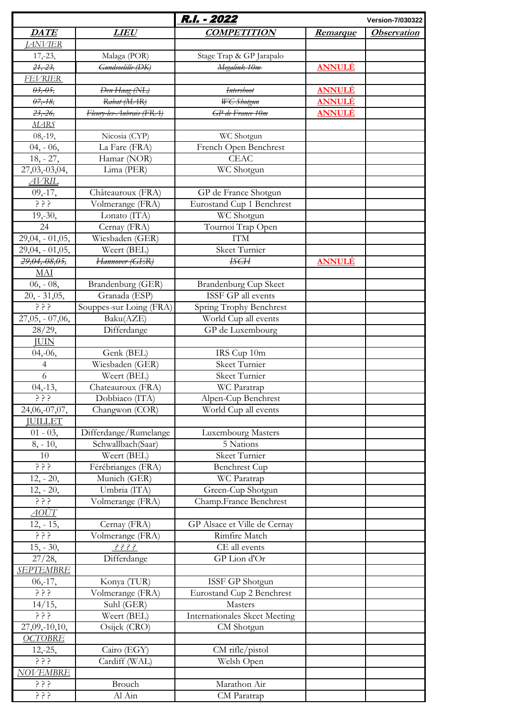|                                                          |                              | R.I. - 2022                          |                 | <b>Version-7/030322</b> |
|----------------------------------------------------------|------------------------------|--------------------------------------|-----------------|-------------------------|
| <b>DATE</b>                                              | <i>LIEU</i>                  | <b>COMPETITION</b>                   | <u>Remarque</u> | <b>Observation</b>      |
| <b>JANVIER</b>                                           |                              |                                      |                 |                         |
| $17,-23,$                                                | Malaga (POR)                 | Stage Trap & GP Jarapalo             |                 |                         |
| $24, -23,$                                               | <del>Gundsoelille (DK)</del> | Megalink 10m                         | <b>ANNULÉ</b>   |                         |
| <b>FEVRIER</b>                                           |                              |                                      |                 |                         |
| $03, -05,$                                               | Den Haag (NL)                | <b>Intershoot</b>                    | <b>ANNULÉ</b>   |                         |
| $07, -18$                                                | Rabat (MAR)                  | WC Shotgun                           | <u>ANNULÉ</u>   |                         |
| $23, -26$                                                | Fleury-les-Aubrais (FRA)     | GP de France 10m                     | <u>ANNULÉ</u>   |                         |
| <b>MARS</b>                                              |                              |                                      |                 |                         |
| $08, -19,$                                               | Nicosia (CYP)                | WC Shotgun                           |                 |                         |
| $04, -06,$                                               | La Fare (FRA)                | French Open Benchrest                |                 |                         |
| $18, -27,$                                               | Hamar (NOR)                  | <b>CEAC</b>                          |                 |                         |
| 27,03,-03,04,                                            | Lima (PER)                   | WC Shotgun                           |                 |                         |
| <b>AVRIL</b>                                             |                              |                                      |                 |                         |
| $09, -17,$                                               | Châteauroux (FRA)            | GP de France Shotgun                 |                 |                         |
| دٖ د د                                                   | Volmerange (FRA)             | Eurostand Cup 1 Benchrest            |                 |                         |
| $19,-30,$                                                | Lonato (ITA)                 | WC Shotgun                           |                 |                         |
| 24                                                       | Cernay (FRA)                 | Tournoi Trap Open                    |                 |                         |
| $29,04, -01,05,$                                         | Wiesbaden (GER)              | <b>ITM</b>                           |                 |                         |
| 29,04, - 01,05,                                          | Weert (BEL)                  | <b>Skeet Turnier</b>                 |                 |                         |
| 29,04,-08,05,                                            | Hannover (GER)               | <b>ISCH</b>                          | <u>ANNULÉ</u>   |                         |
| MAI                                                      |                              |                                      |                 |                         |
| $06, -08,$                                               | Brandenburg (GER)            | <b>Brandenburg Cup Skeet</b>         |                 |                         |
| $20, -31,05,$                                            | Granada (ESP)                | ISSF GP all events                   |                 |                         |
| <u>خ ځ ځ</u>                                             | Souppes-sur Loing (FRA)      | Spring Trophy Benchrest              |                 |                         |
| $27,05, -07,06,$                                         | Baku(AZE)                    | World Cup all events                 |                 |                         |
| 28/29,                                                   | Differdange                  | GP de Luxembourg                     |                 |                         |
| <b>JUIN</b>                                              |                              |                                      |                 |                         |
| $04,-06,$                                                | Genk (BEL)                   | IRS Cup 10m                          |                 |                         |
| $\overline{4}$                                           | Wiesbaden (GER)              | Skeet Turnier                        |                 |                         |
| 6                                                        | Weert (BEL)                  | <b>Skeet Turnier</b>                 |                 |                         |
| $04,-13,$                                                | Chateauroux (FRA)            | WC Paratrap                          |                 |                         |
| ? ? ؟                                                    | Dobbiaco (ITA)               | Alpen-Cup Benchrest                  |                 |                         |
| 24,06,-07,07,                                            | Changwon (COR)               | World Cup all events                 |                 |                         |
| <b>JUILLET</b>                                           |                              |                                      |                 |                         |
| $01 - 03$ ,                                              | Differdange/Rumelange        | Luxembourg Masters                   |                 |                         |
| $8, -10,$                                                | Schwallbach(Saar)            | 5 Nations                            |                 |                         |
| 10                                                       | Weert (BEL)                  | Skeet Turnier                        |                 |                         |
| <u>ځ ځ ځ</u>                                             | Férébrianges (FRA)           | <b>Benchrest Cup</b>                 |                 |                         |
| $12, -20,$                                               | Munich (GER)                 | WC Paratrap                          |                 |                         |
| $12, -20,$                                               | Umbria (ITA)                 | Green-Cup Shotgun                    |                 |                         |
| $\begin{array}{cc} 2 & 5 & 5 \end{array}$<br><u>AOÛT</u> | Volmerange (FRA)             | Champ.France Benchrest               |                 |                         |
| $12, -15,$                                               | Cernay (FRA)                 | GP Alsace et Ville de Cernay         |                 |                         |
| ? ? ؟                                                    | Volmerange (FRA)             | Rimfire Match                        |                 |                         |
| $15, -30,$                                               | 3333                         | CE all events                        |                 |                         |
| $27/28$ ,                                                | Differdange                  | GP Lion d'Or                         |                 |                         |
| <b>SEPTEMBRE</b>                                         |                              |                                      |                 |                         |
| $06,-17,$                                                | Konya (TUR)                  | ISSF GP Shotgun                      |                 |                         |
| ? ? ؟                                                    | Volmerange (FRA)             | <b>Eurostand Cup 2 Benchrest</b>     |                 |                         |
| 14/15,                                                   | Suhl (GER)                   | Masters                              |                 |                         |
| ? ? ؟                                                    | Weert (BEL)                  | <b>Internationales Skeet Meeting</b> |                 |                         |
| 27,09,-10,10,                                            | Osijek (CRO)                 | CM Shotgun                           |                 |                         |
| <b>OCTOBRE</b>                                           |                              |                                      |                 |                         |
| $12,-25,$                                                | Cairo (EGY)                  | $CM$ rifle/pistol                    |                 |                         |
|                                                          | Cardiff (WAL)                | Welsh Open                           |                 |                         |
| <b>NOVEMBRE</b>                                          |                              |                                      |                 |                         |
| $\frac{1}{2}$ $\frac{1}{2}$                              | Brouch                       | Marathon Air                         |                 |                         |
| د د ذ                                                    | Al Ain                       | CM Paratrap                          |                 |                         |